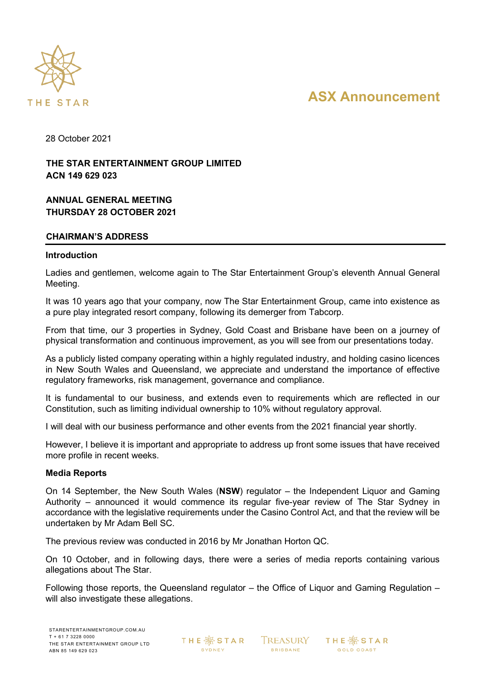

# **ASX Announcement**

28 October 2021

# **THE STAR ENTERTAINMENT GROUP LIMITED ACN 149 629 023**

# **ANNUAL GENERAL MEETING THURSDAY 28 OCTOBER 2021**

## **CHAIRMAN'S ADDRESS**

## **Introduction**

Ladies and gentlemen, welcome again to The Star Entertainment Group's eleventh Annual General Meeting.

It was 10 years ago that your company, now The Star Entertainment Group, came into existence as a pure play integrated resort company, following its demerger from Tabcorp.

From that time, our 3 properties in Sydney, Gold Coast and Brisbane have been on a journey of physical transformation and continuous improvement, as you will see from our presentations today.

As a publicly listed company operating within a highly regulated industry, and holding casino licences in New South Wales and Queensland, we appreciate and understand the importance of effective regulatory frameworks, risk management, governance and compliance.

It is fundamental to our business, and extends even to requirements which are reflected in our Constitution, such as limiting individual ownership to 10% without regulatory approval.

I will deal with our business performance and other events from the 2021 financial year shortly.

However, I believe it is important and appropriate to address up front some issues that have received more profile in recent weeks.

## **Media Reports**

On 14 September, the New South Wales (**NSW**) regulator – the Independent Liquor and Gaming Authority – announced it would commence its regular five-year review of The Star Sydney in accordance with the legislative requirements under the Casino Control Act, and that the review will be undertaken by Mr Adam Bell SC.

The previous review was conducted in 2016 by Mr Jonathan Horton QC.

On 10 October, and in following days, there were a series of media reports containing various allegations about The Star.

Following those reports, the Queensland regulator – the Office of Liquor and Gaming Regulation – will also investigate these allegations.

**THE ※STAR** SYDNEY

**TREASURY BRISBANE** 

THE  $\mathbin{\hat\otimes}$  STAR GOLD COAST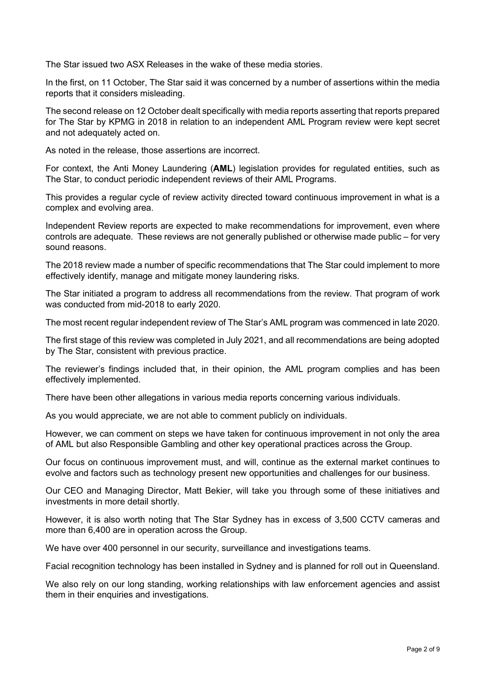The Star issued two ASX Releases in the wake of these media stories.

In the first, on 11 October, The Star said it was concerned by a number of assertions within the media reports that it considers misleading.

The second release on 12 October dealt specifically with media reports asserting that reports prepared for The Star by KPMG in 2018 in relation to an independent AML Program review were kept secret and not adequately acted on.

As noted in the release, those assertions are incorrect.

For context, the Anti Money Laundering (**AML**) legislation provides for regulated entities, such as The Star, to conduct periodic independent reviews of their AML Programs.

This provides a regular cycle of review activity directed toward continuous improvement in what is a complex and evolving area.

Independent Review reports are expected to make recommendations for improvement, even where controls are adequate. These reviews are not generally published or otherwise made public – for very sound reasons.

The 2018 review made a number of specific recommendations that The Star could implement to more effectively identify, manage and mitigate money laundering risks.

The Star initiated a program to address all recommendations from the review. That program of work was conducted from mid-2018 to early 2020.

The most recent regular independent review of The Star's AML program was commenced in late 2020.

The first stage of this review was completed in July 2021, and all recommendations are being adopted by The Star, consistent with previous practice.

The reviewer's findings included that, in their opinion, the AML program complies and has been effectively implemented.

There have been other allegations in various media reports concerning various individuals.

As you would appreciate, we are not able to comment publicly on individuals.

However, we can comment on steps we have taken for continuous improvement in not only the area of AML but also Responsible Gambling and other key operational practices across the Group.

Our focus on continuous improvement must, and will, continue as the external market continues to evolve and factors such as technology present new opportunities and challenges for our business.

Our CEO and Managing Director, Matt Bekier, will take you through some of these initiatives and investments in more detail shortly.

However, it is also worth noting that The Star Sydney has in excess of 3,500 CCTV cameras and more than 6,400 are in operation across the Group.

We have over 400 personnel in our security, surveillance and investigations teams.

Facial recognition technology has been installed in Sydney and is planned for roll out in Queensland.

We also rely on our long standing, working relationships with law enforcement agencies and assist them in their enquiries and investigations.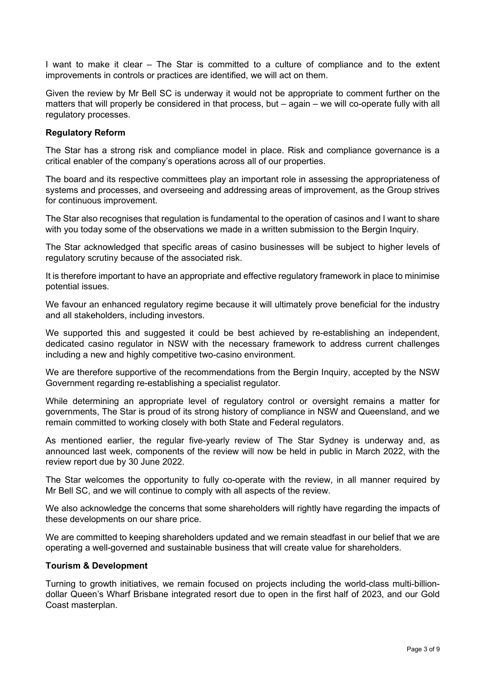I want to make it clear – The Star is committed to a culture of compliance and to the extent improvements in controls or practices are identified, we will act on them.

Given the review by Mr Bell SC is underway it would not be appropriate to comment further on the matters that will properly be considered in that process, but – again – we will co-operate fully with all regulatory processes.

## **Regulatory Reform**

The Star has a strong risk and compliance model in place. Risk and compliance governance is a critical enabler of the company's operations across all of our properties.

The board and its respective committees play an important role in assessing the appropriateness of systems and processes, and overseeing and addressing areas of improvement, as the Group strives for continuous improvement.

The Star also recognises that regulation is fundamental to the operation of casinos and I want to share with you today some of the observations we made in a written submission to the Bergin Inquiry.

The Star acknowledged that specific areas of casino businesses will be subject to higher levels of regulatory scrutiny because of the associated risk.

It is therefore important to have an appropriate and effective regulatory framework in place to minimise potential issues.

We favour an enhanced regulatory regime because it will ultimately prove beneficial for the industry and all stakeholders, including investors.

We supported this and suggested it could be best achieved by re-establishing an independent, dedicated casino regulator in NSW with the necessary framework to address current challenges including a new and highly competitive two-casino environment.

We are therefore supportive of the recommendations from the Bergin Inquiry, accepted by the NSW Government regarding re-establishing a specialist regulator.

While determining an appropriate level of regulatory control or oversight remains a matter for governments, The Star is proud of its strong history of compliance in NSW and Queensland, and we remain committed to working closely with both State and Federal regulators.

As mentioned earlier, the regular five-yearly review of The Star Sydney is underway and, as announced last week, components of the review will now be held in public in March 2022, with the review report due by 30 June 2022.

The Star welcomes the opportunity to fully co-operate with the review, in all manner required by Mr Bell SC, and we will continue to comply with all aspects of the review.

We also acknowledge the concerns that some shareholders will rightly have regarding the impacts of these developments on our share price.

We are committed to keeping shareholders updated and we remain steadfast in our belief that we are operating a well-governed and sustainable business that will create value for shareholders.

## **Tourism & Development**

Turning to growth initiatives, we remain focused on projects including the world-class multi-billiondollar Queen's Wharf Brisbane integrated resort due to open in the first half of 2023, and our Gold Coast masterplan.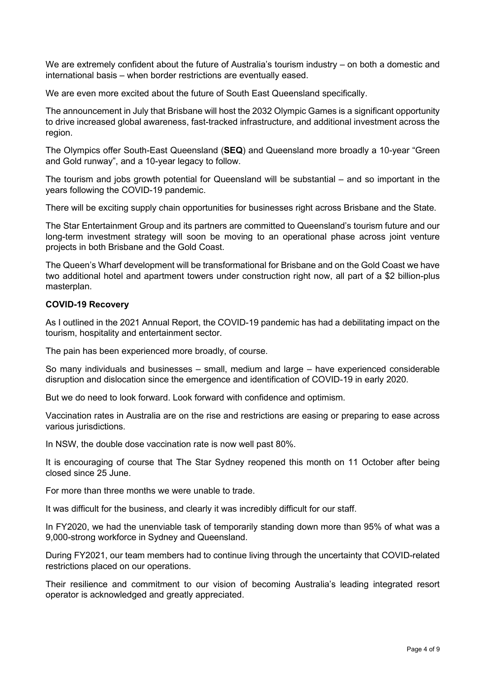We are extremely confident about the future of Australia's tourism industry – on both a domestic and international basis – when border restrictions are eventually eased.

We are even more excited about the future of South East Queensland specifically.

The announcement in July that Brisbane will host the 2032 Olympic Games is a significant opportunity to drive increased global awareness, fast-tracked infrastructure, and additional investment across the region.

The Olympics offer South-East Queensland (**SEQ**) and Queensland more broadly a 10-year "Green and Gold runway", and a 10-year legacy to follow.

The tourism and jobs growth potential for Queensland will be substantial – and so important in the years following the COVID-19 pandemic.

There will be exciting supply chain opportunities for businesses right across Brisbane and the State.

The Star Entertainment Group and its partners are committed to Queensland's tourism future and our long-term investment strategy will soon be moving to an operational phase across joint venture projects in both Brisbane and the Gold Coast.

The Queen's Wharf development will be transformational for Brisbane and on the Gold Coast we have two additional hotel and apartment towers under construction right now, all part of a \$2 billion-plus masterplan.

## **COVID-19 Recovery**

As I outlined in the 2021 Annual Report, the COVID-19 pandemic has had a debilitating impact on the tourism, hospitality and entertainment sector.

The pain has been experienced more broadly, of course.

So many individuals and businesses – small, medium and large – have experienced considerable disruption and dislocation since the emergence and identification of COVID-19 in early 2020.

But we do need to look forward. Look forward with confidence and optimism.

Vaccination rates in Australia are on the rise and restrictions are easing or preparing to ease across various jurisdictions.

In NSW, the double dose vaccination rate is now well past 80%.

It is encouraging of course that The Star Sydney reopened this month on 11 October after being closed since 25 June.

For more than three months we were unable to trade.

It was difficult for the business, and clearly it was incredibly difficult for our staff.

In FY2020, we had the unenviable task of temporarily standing down more than 95% of what was a 9,000-strong workforce in Sydney and Queensland.

During FY2021, our team members had to continue living through the uncertainty that COVID-related restrictions placed on our operations.

Their resilience and commitment to our vision of becoming Australia's leading integrated resort operator is acknowledged and greatly appreciated.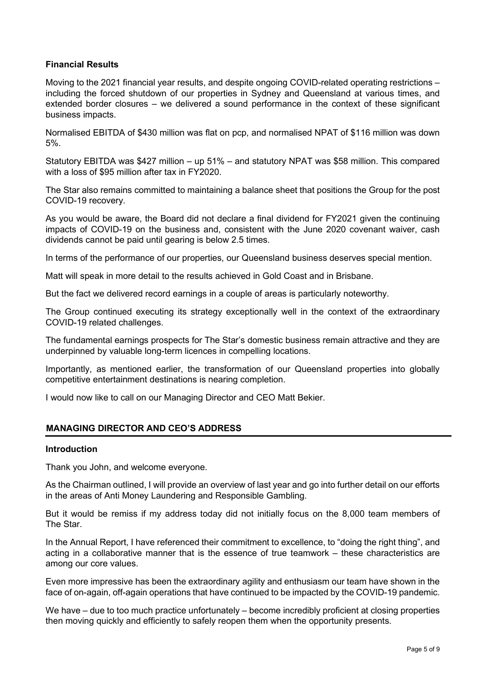## **Financial Results**

Moving to the 2021 financial year results, and despite ongoing COVID-related operating restrictions – including the forced shutdown of our properties in Sydney and Queensland at various times, and extended border closures – we delivered a sound performance in the context of these significant business impacts.

Normalised EBITDA of \$430 million was flat on pcp, and normalised NPAT of \$116 million was down 5%.

Statutory EBITDA was \$427 million – up 51% – and statutory NPAT was \$58 million. This compared with a loss of \$95 million after tax in FY2020.

The Star also remains committed to maintaining a balance sheet that positions the Group for the post COVID-19 recovery.

As you would be aware, the Board did not declare a final dividend for FY2021 given the continuing impacts of COVID-19 on the business and, consistent with the June 2020 covenant waiver, cash dividends cannot be paid until gearing is below 2.5 times.

In terms of the performance of our properties, our Queensland business deserves special mention.

Matt will speak in more detail to the results achieved in Gold Coast and in Brisbane.

But the fact we delivered record earnings in a couple of areas is particularly noteworthy.

The Group continued executing its strategy exceptionally well in the context of the extraordinary COVID-19 related challenges.

The fundamental earnings prospects for The Star's domestic business remain attractive and they are underpinned by valuable long-term licences in compelling locations.

Importantly, as mentioned earlier, the transformation of our Queensland properties into globally competitive entertainment destinations is nearing completion.

I would now like to call on our Managing Director and CEO Matt Bekier.

## **MANAGING DIRECTOR AND CEO'S ADDRESS**

## **Introduction**

Thank you John, and welcome everyone.

As the Chairman outlined, I will provide an overview of last year and go into further detail on our efforts in the areas of Anti Money Laundering and Responsible Gambling.

But it would be remiss if my address today did not initially focus on the 8,000 team members of The Star.

In the Annual Report, I have referenced their commitment to excellence, to "doing the right thing", and acting in a collaborative manner that is the essence of true teamwork – these characteristics are among our core values.

Even more impressive has been the extraordinary agility and enthusiasm our team have shown in the face of on-again, off-again operations that have continued to be impacted by the COVID-19 pandemic.

We have – due to too much practice unfortunately – become incredibly proficient at closing properties then moving quickly and efficiently to safely reopen them when the opportunity presents.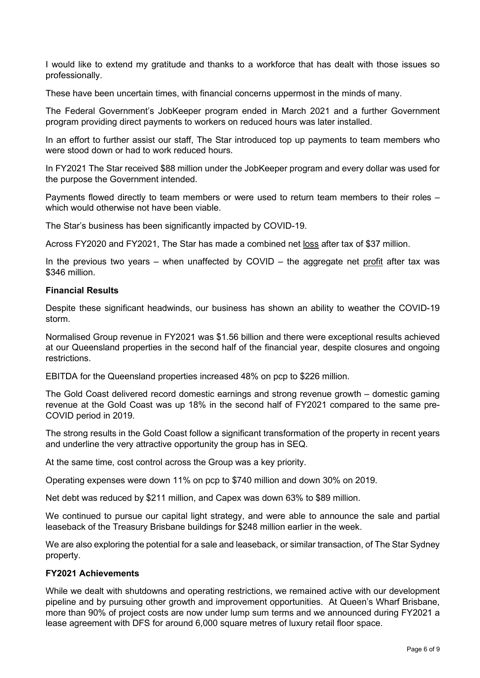I would like to extend my gratitude and thanks to a workforce that has dealt with those issues so professionally.

These have been uncertain times, with financial concerns uppermost in the minds of many.

The Federal Government's JobKeeper program ended in March 2021 and a further Government program providing direct payments to workers on reduced hours was later installed.

In an effort to further assist our staff, The Star introduced top up payments to team members who were stood down or had to work reduced hours.

In FY2021 The Star received \$88 million under the JobKeeper program and every dollar was used for the purpose the Government intended.

Payments flowed directly to team members or were used to return team members to their roles – which would otherwise not have been viable.

The Star's business has been significantly impacted by COVID-19.

Across FY2020 and FY2021, The Star has made a combined net loss after tax of \$37 million.

In the previous two years – when unaffected by COVID – the aggregate net profit after tax was \$346 million.

## **Financial Results**

Despite these significant headwinds, our business has shown an ability to weather the COVID-19 storm.

Normalised Group revenue in FY2021 was \$1.56 billion and there were exceptional results achieved at our Queensland properties in the second half of the financial year, despite closures and ongoing restrictions.

EBITDA for the Queensland properties increased 48% on pcp to \$226 million.

The Gold Coast delivered record domestic earnings and strong revenue growth – domestic gaming revenue at the Gold Coast was up 18% in the second half of FY2021 compared to the same pre-COVID period in 2019.

The strong results in the Gold Coast follow a significant transformation of the property in recent years and underline the very attractive opportunity the group has in SEQ.

At the same time, cost control across the Group was a key priority.

Operating expenses were down 11% on pcp to \$740 million and down 30% on 2019.

Net debt was reduced by \$211 million, and Capex was down 63% to \$89 million.

We continued to pursue our capital light strategy, and were able to announce the sale and partial leaseback of the Treasury Brisbane buildings for \$248 million earlier in the week.

We are also exploring the potential for a sale and leaseback, or similar transaction, of The Star Sydney property.

## **FY2021 Achievements**

While we dealt with shutdowns and operating restrictions, we remained active with our development pipeline and by pursuing other growth and improvement opportunities. At Queen's Wharf Brisbane, more than 90% of project costs are now under lump sum terms and we announced during FY2021 a lease agreement with DFS for around 6,000 square metres of luxury retail floor space.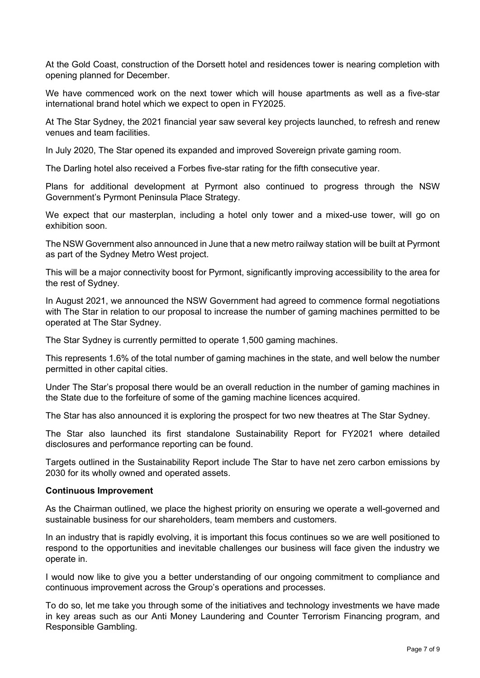At the Gold Coast, construction of the Dorsett hotel and residences tower is nearing completion with opening planned for December.

We have commenced work on the next tower which will house apartments as well as a five-star international brand hotel which we expect to open in FY2025.

At The Star Sydney, the 2021 financial year saw several key projects launched, to refresh and renew venues and team facilities.

In July 2020, The Star opened its expanded and improved Sovereign private gaming room.

The Darling hotel also received a Forbes five-star rating for the fifth consecutive year.

Plans for additional development at Pyrmont also continued to progress through the NSW Government's Pyrmont Peninsula Place Strategy.

We expect that our masterplan, including a hotel only tower and a mixed-use tower, will go on exhibition soon.

The NSW Government also announced in June that a new metro railway station will be built at Pyrmont as part of the Sydney Metro West project.

This will be a major connectivity boost for Pyrmont, significantly improving accessibility to the area for the rest of Sydney.

In August 2021, we announced the NSW Government had agreed to commence formal negotiations with The Star in relation to our proposal to increase the number of gaming machines permitted to be operated at The Star Sydney.

The Star Sydney is currently permitted to operate 1,500 gaming machines.

This represents 1.6% of the total number of gaming machines in the state, and well below the number permitted in other capital cities.

Under The Star's proposal there would be an overall reduction in the number of gaming machines in the State due to the forfeiture of some of the gaming machine licences acquired.

The Star has also announced it is exploring the prospect for two new theatres at The Star Sydney.

The Star also launched its first standalone Sustainability Report for FY2021 where detailed disclosures and performance reporting can be found.

Targets outlined in the Sustainability Report include The Star to have net zero carbon emissions by 2030 for its wholly owned and operated assets.

## **Continuous Improvement**

As the Chairman outlined, we place the highest priority on ensuring we operate a well-governed and sustainable business for our shareholders, team members and customers.

In an industry that is rapidly evolving, it is important this focus continues so we are well positioned to respond to the opportunities and inevitable challenges our business will face given the industry we operate in.

I would now like to give you a better understanding of our ongoing commitment to compliance and continuous improvement across the Group's operations and processes.

To do so, let me take you through some of the initiatives and technology investments we have made in key areas such as our Anti Money Laundering and Counter Terrorism Financing program, and Responsible Gambling.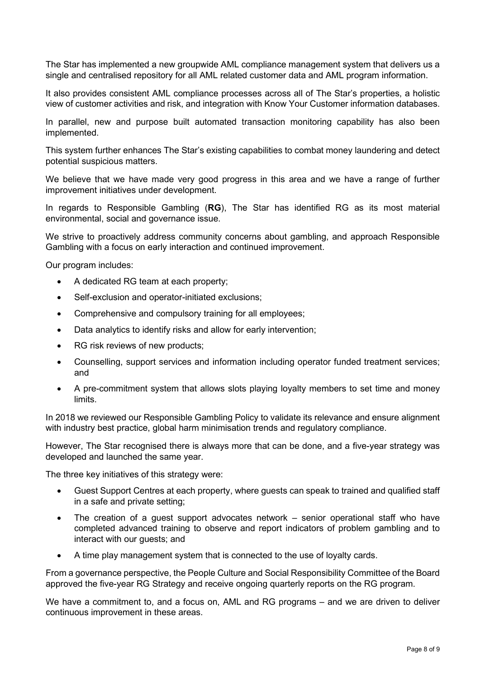The Star has implemented a new groupwide AML compliance management system that delivers us a single and centralised repository for all AML related customer data and AML program information.

It also provides consistent AML compliance processes across all of The Star's properties, a holistic view of customer activities and risk, and integration with Know Your Customer information databases.

In parallel, new and purpose built automated transaction monitoring capability has also been implemented.

This system further enhances The Star's existing capabilities to combat money laundering and detect potential suspicious matters.

We believe that we have made very good progress in this area and we have a range of further improvement initiatives under development.

In regards to Responsible Gambling (**RG**), The Star has identified RG as its most material environmental, social and governance issue.

We strive to proactively address community concerns about gambling, and approach Responsible Gambling with a focus on early interaction and continued improvement.

Our program includes:

- A dedicated RG team at each property;
- Self-exclusion and operator-initiated exclusions;
- Comprehensive and compulsory training for all employees;
- Data analytics to identify risks and allow for early intervention;
- RG risk reviews of new products;
- Counselling, support services and information including operator funded treatment services; and
- A pre-commitment system that allows slots playing loyalty members to set time and money limits.

In 2018 we reviewed our Responsible Gambling Policy to validate its relevance and ensure alignment with industry best practice, global harm minimisation trends and regulatory compliance.

However, The Star recognised there is always more that can be done, and a five-year strategy was developed and launched the same year.

The three key initiatives of this strategy were:

- Guest Support Centres at each property, where guests can speak to trained and qualified staff in a safe and private setting;
- The creation of a guest support advocates network senior operational staff who have completed advanced training to observe and report indicators of problem gambling and to interact with our guests; and
- A time play management system that is connected to the use of loyalty cards.

From a governance perspective, the People Culture and Social Responsibility Committee of the Board approved the five-year RG Strategy and receive ongoing quarterly reports on the RG program.

We have a commitment to, and a focus on, AML and RG programs – and we are driven to deliver continuous improvement in these areas.